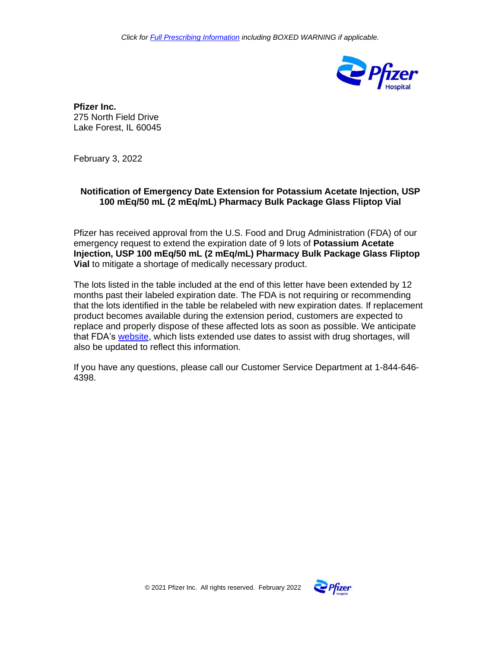

**Pfizer Inc.** 275 North Field Drive Lake Forest, IL 60045

February 3, 2022

## **Notification of Emergency Date Extension for Potassium Acetate Injection, USP 100 mEq/50 mL (2 mEq/mL) Pharmacy Bulk Package Glass Fliptop Vial**

Pfizer has received approval from the U.S. Food and Drug Administration (FDA) of our emergency request to extend the expiration date of 9 lots of **Potassium Acetate Injection, USP 100 mEq/50 mL (2 mEq/mL) Pharmacy Bulk Package Glass Fliptop Vial** to mitigate a shortage of medically necessary product.

The lots listed in the table included at the end of this letter have been extended by 12 months past their labeled expiration date. The FDA is not requiring or recommending that the lots identified in the table be relabeled with new expiration dates. If replacement product becomes available during the extension period, customers are expected to replace and properly dispose of these affected lots as soon as possible. We anticipate that FDA's [website,](https://www.fda.gov/drugs/drug-shortages/search-list-extended-use-dates-assist-drug-shortages) which lists extended use dates to assist with drug shortages, will also be updated to reflect this information.

If you have any questions, please call our Customer Service Department at 1-844-646- 4398.